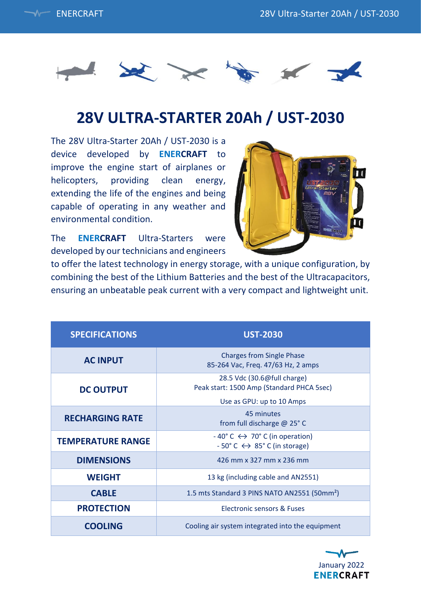



## **28V ULTRA-STARTER 20Ah / UST-2030**

The 28V Ultra-Starter 20Ah / UST-2030 is a device developed by **ENERCRAFT** to improve the engine start of airplanes or helicopters, providing clean energy, extending the life of the engines and being capable of operating in any weather and environmental condition.



The **ENERCRAFT** Ultra-Starters were developed by our technicians and engineers

to offer the latest technology in energy storage, with a unique configuration, by combining the best of the Lithium Batteries and the best of the Ultracapacitors, ensuring an unbeatable peak current with a very compact and lightweight unit.

| <b>SPECIFICATIONS</b>    | <b>UST-2030</b>                                                                                                          |
|--------------------------|--------------------------------------------------------------------------------------------------------------------------|
| <b>AC INPUT</b>          | <b>Charges from Single Phase</b><br>85-264 Vac, Freq. 47/63 Hz, 2 amps                                                   |
| <b>DC OUTPUT</b>         | 28.5 Vdc (30.6@full charge)<br>Peak start: 1500 Amp (Standard PHCA 5sec)                                                 |
|                          | Use as GPU: up to 10 Amps                                                                                                |
| <b>RECHARGING RATE</b>   | 45 minutes<br>from full discharge @ 25° C                                                                                |
| <b>TEMPERATURE RANGE</b> | $-40^{\circ}$ C $\leftrightarrow$ 70° C (in operation)<br>$-50^{\circ}$ C $\leftrightarrow$ 85 $^{\circ}$ C (in storage) |
| <b>DIMENSIONS</b>        | 426 mm x 327 mm x 236 mm                                                                                                 |
| <b>WEIGHT</b>            | 13 kg (including cable and AN2551)                                                                                       |
| <b>CABLE</b>             | 1.5 mts Standard 3 PINS NATO AN2551 (50mm <sup>2</sup> )                                                                 |
| <b>PROTECTION</b>        | Electronic sensors & Fuses                                                                                               |
| <b>COOLING</b>           | Cooling air system integrated into the equipment                                                                         |